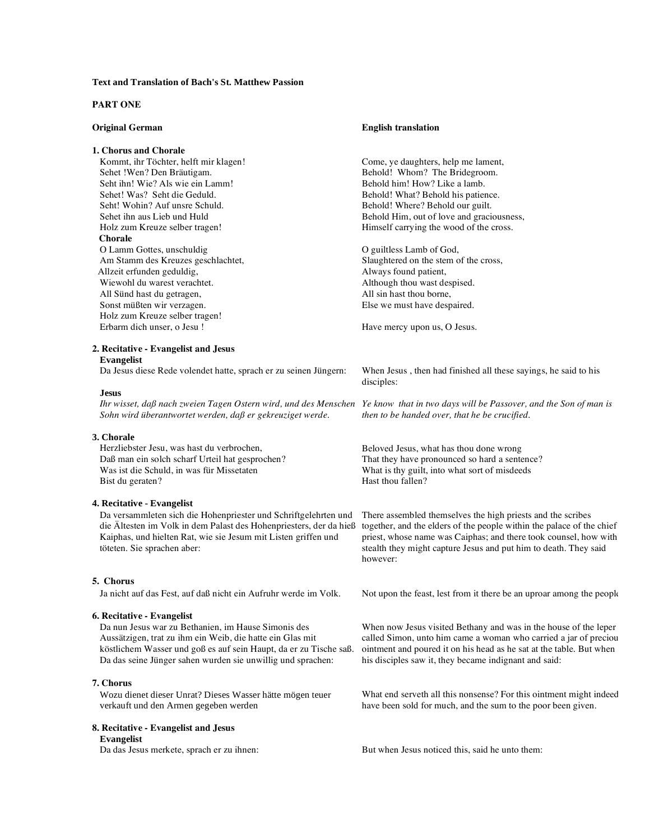# **Text and Translation of Bach's St. Matthew Passion**

# **PART ONE**

| <b>Original German</b>                                                                                                           | <b>English translation</b>                                                    |
|----------------------------------------------------------------------------------------------------------------------------------|-------------------------------------------------------------------------------|
| 1. Chorus and Chorale                                                                                                            |                                                                               |
| Kommt, ihr Töchter, helft mir klagen!                                                                                            | Come, ye daughters, help me lament,                                           |
| Sehet !Wen? Den Bräutigam.                                                                                                       | Behold! Whom? The Bridegroom.                                                 |
| Seht ihn! Wie? Als wie ein Lamm!                                                                                                 | Behold him! How? Like a lamb.                                                 |
| Sehet! Was? Seht die Geduld.                                                                                                     | Behold! What? Behold his patience.                                            |
| Seht! Wohin? Auf unsre Schuld.                                                                                                   | Behold! Where? Behold our guilt.                                              |
| Sehet ihn aus Lieb und Huld                                                                                                      | Behold Him, out of love and graciousness,                                     |
| Holz zum Kreuze selber tragen!                                                                                                   | Himself carrying the wood of the cross.                                       |
| <b>Chorale</b>                                                                                                                   |                                                                               |
| O Lamm Gottes, unschuldig                                                                                                        | O guiltless Lamb of God,                                                      |
| Am Stamm des Kreuzes geschlachtet,                                                                                               | Slaughtered on the stem of the cross,                                         |
| Allzeit erfunden geduldig,                                                                                                       | Always found patient,                                                         |
| Wiewohl du warest verachtet.                                                                                                     | Although thou wast despised.                                                  |
| All Sünd hast du getragen,                                                                                                       | All sin hast thou borne,                                                      |
| Sonst müßten wir verzagen.                                                                                                       | Else we must have despaired.                                                  |
| Holz zum Kreuze selber tragen!                                                                                                   |                                                                               |
| Erbarm dich unser, o Jesu !                                                                                                      | Have mercy upon us, O Jesus.                                                  |
| 2. Recitative - Evangelist and Jesus                                                                                             |                                                                               |
| <b>Evangelist</b>                                                                                                                |                                                                               |
| Da Jesus diese Rede volendet hatte, sprach er zu seinen Jüngern:                                                                 | When Jesus, then had finished all these sayings, he said to his<br>disciples: |
| <b>Jesus</b>                                                                                                                     |                                                                               |
| Ihr wisset, daß nach zweien Tagen Ostern wird, und des Menschen Ye know that in two days will be Passover, and the Son of man is |                                                                               |
| Sohn wird überantwortet werden, daß er gekreuziget werde.                                                                        | then to be handed over, that he be crucified.                                 |
| 3. Chorale                                                                                                                       |                                                                               |
| Herzliebster Jesu, was hast du verbrochen,                                                                                       | Beloved Jesus, what has thou done wrong                                       |
| Daß man ein solch scharf Urteil hat gesprochen?                                                                                  | That they have pronounced so hard a sentence?                                 |
| Was ist die Schuld, in was für Missetaten                                                                                        | What is thy guilt, into what sort of misdeeds                                 |
| Bist du geraten?                                                                                                                 | Hast thou fallen?                                                             |
| 4. Recitative - Evangelist                                                                                                       |                                                                               |
| Da versammleten sich die Hohenpriester und Schriftgelehrten und                                                                  | There assembled themselves the high priests and the scribes                   |
| die Ältesten im Volk in dem Palast des Hohenpriesters, der da hieß                                                               | together, and the elders of the people within the palace of the chief         |
| Kaiphas, und hielten Rat, wie sie Jesum mit Listen griffen und                                                                   | priest, whose name was Caiphas; and there took counsel, how with              |
| töteten. Sie sprachen aber:                                                                                                      | stealth they might capture Jesus and put him to death. They said              |
|                                                                                                                                  | however:                                                                      |
| 5. Chorus                                                                                                                        |                                                                               |
| Ja nicht auf das Fest, auf daß nicht ein Aufruhr werde im Volk.                                                                  | Not upon the feast, lest from it there be an uproar among the people          |
|                                                                                                                                  |                                                                               |
| 6. Recitative - Evangelist                                                                                                       |                                                                               |
| Da nun Jesus war zu Bethanien, im Hause Simonis des                                                                              | When now Jesus visited Bethany and was in the house of the leper              |
| Aussätzigen, trat zu ihm ein Weib, die hatte ein Glas mit                                                                        | called Simon, unto him came a woman who carried a jar of preciou              |
| köstlichem Wasser und goß es auf sein Haupt, da er zu Tische saß.                                                                | ointment and poured it on his head as he sat at the table. But when           |
| Da das seine Jünger sahen wurden sie unwillig und sprachen:                                                                      | his disciples saw it, they became indignant and said:                         |
| 7. Chorus                                                                                                                        |                                                                               |
| Wozu dienet dieser Unrat? Dieses Wasser hätte mögen teuer                                                                        | What end serveth all this nonsense? For this ointment might indeed            |
| verkauft und den Armen gegeben werden                                                                                            | have been sold for much, and the sum to the poor been given.                  |
| 8. Recitative - Evangelist and Jesus                                                                                             |                                                                               |
| <b>Evangelist</b>                                                                                                                |                                                                               |
| Da das Jesus merkete, sprach er zu ihnen:                                                                                        | But when Jesus noticed this, said he unto them:                               |
|                                                                                                                                  |                                                                               |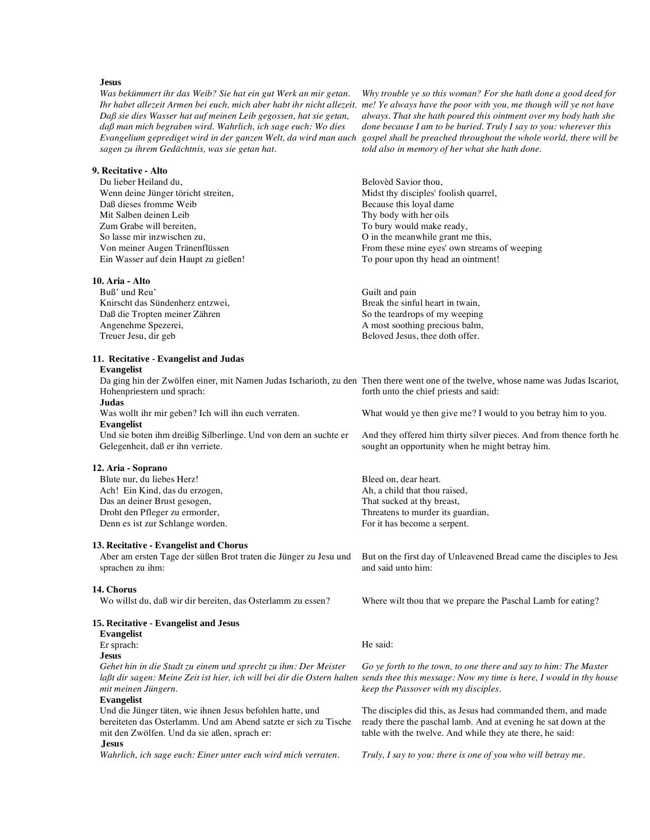# **Jesus**

**9. Recitative - Alto**  Du lieber Heiland du,

Was bekümmert ihr das Weib? Sie hat ein gut Werk an mir getan. *Dafl sie dies Wasser hat auf meinen Leib gegossen, hat sie getan, dafl man mich begraben wird. Wahrlich, ich sage euch: Wo dies Evangelium geprediget wird in der ganzen Welt, da wird man auch sagen zu ihrem Ged‰chtnis, was sie getan hat.* 

*Ihr habet allezeit Armen bei euch, mich aber habt ihr nicht allezeit. me! Ye always have the poor with you, me though will ye not have Why trouble ye so this woman? For she hath done a good deed for always. That she hath poured this ointment over my body hath she done because I am to be buried. Truly I say to you: wherever this gospel shall be preached throughout the whole world, there will be told also in memory of her what she hath done.* 

> Belovèd Savior thou, Midst thy disciples' foolish quarrel, Because this loyal dame Thy body with her oils To bury would make ready, O in the meanwhile grant me this, From these mine eyes' own streams of weeping To pour upon thy head an ointment!

Guilt and pain Break the sinful heart in twain, So the teardrops of my weeping A most soothing precious balm, Beloved Jesus, thee doth offer.

## **11. Recitative - Evangelist and Judas**

Knirscht das Sündenherz entzwei, Daß die Tropten meiner Zähren

Angenehme Spezerei, Treuer Jesu, dir geb

Wenn deine Jünger töricht streiten,

Dafl dieses fromme Weib Mit Salben deinen Leib Zum Grabe will bereiten, So lasse mir inzwischen zu, Von meiner Augen Tränenflüssen Ein Wasser auf dein Haupt zu gießen!

## **Evangelist**

**10. Aria - Alto**  Buß' und Reu'

| Da ging hin der Zwölfen einer, mit Namen Judas Ischarioth, zu den Then there went one of the twelve, whose name was Judas Iscariot, |
|-------------------------------------------------------------------------------------------------------------------------------------|
| forth unto the chief priests and said:                                                                                              |
|                                                                                                                                     |
| What would ye then give me? I would to you betray him to you.                                                                       |
|                                                                                                                                     |
| And they offered him thirty silver pieces. And from thence forth he                                                                 |
| sought an opportunity when he might betray him.                                                                                     |
|                                                                                                                                     |
|                                                                                                                                     |
| Bleed on, dear heart.                                                                                                               |
| Ah, a child that thou raised,                                                                                                       |
|                                                                                                                                     |

Das an deiner Brust gesogen, Droht den Pfleger zu ermorder, Denn es ist zur Schlange worden.

## **13. Recitative - Evangelist and Chorus**

Aber am ersten Tage der süßen Brot traten die Jünger zu Jesu und sprachen zu ihm:

14. Chorus<br>Wo willst du, daß wir dir bereiten, das Osterlamm zu essen?

# **15. Recitative - Evangelist and Jesus**

| <b>Evangelist</b> |
|-------------------|
| Er sprach:        |
| <b>Jesus</b>      |

*Gehet hin in die Stadt zu einem und sprecht zu ihm: Der Meister laflt dir sagen: Meine Zeit ist hier, ich will bei dir die Ostern halten*  $mit$  meinen Jüngern.

# **Evangelist**

Und die Jünger täten, wie ihnen Jesus befohlen hatte, und bereiteten das Osterlamm. Und am Abend satzte er sich zu Tische mit den Zwölfen. Und da sie aßen, sprach er: **Jesus** 

*Wahrlich, ich sage euch: Einer unter euch wird mich verraten. Truly, I say to you: there is one of you who will betray me.*

That sucked at thy breast, Threatens to murder its guardian, For it has become a serpent.

But on the first day of Unleavened Bread came the disciples to Jesu and said unto him:

Where wilt thou that we prepare the Paschal Lamb for eating?

## He said:

*Go ye forth to the town, to one there and say to him: The Master sends thee this message: Now my time is here, I would in thy house keep the Passover with my disciples.*

The disciples did this, as Jesus had commanded them, and made ready there the paschal lamb. And at evening he sat down at the table with the twelve. And while they ate there, he said: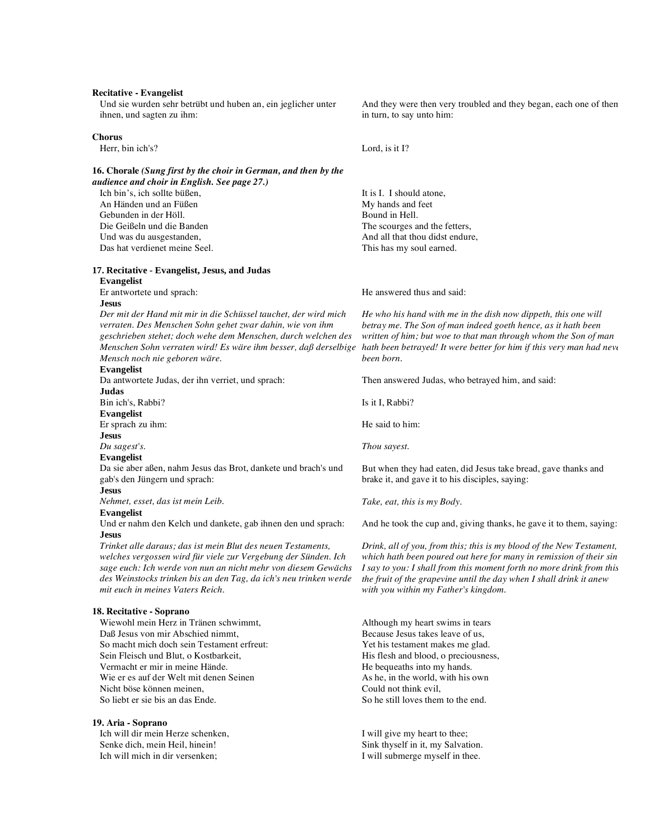| <b>Recitative - Evangelist</b>                                                                                                                                                                                                                                                                                                  |                                                                                                                                                                                                                                                                                                                                   |
|---------------------------------------------------------------------------------------------------------------------------------------------------------------------------------------------------------------------------------------------------------------------------------------------------------------------------------|-----------------------------------------------------------------------------------------------------------------------------------------------------------------------------------------------------------------------------------------------------------------------------------------------------------------------------------|
| Und sie wurden sehr betrübt und huben an, ein jeglicher unter<br>ihnen, und sagten zu ihm:                                                                                                                                                                                                                                      | And they were then very troubled and they began, each one of then<br>in turn, to say unto him:                                                                                                                                                                                                                                    |
| <b>Chorus</b>                                                                                                                                                                                                                                                                                                                   |                                                                                                                                                                                                                                                                                                                                   |
| Herr, bin ich's?                                                                                                                                                                                                                                                                                                                | Lord, is it I?                                                                                                                                                                                                                                                                                                                    |
| 16. Chorale (Sung first by the choir in German, and then by the<br>audience and choir in English. See page 27.)                                                                                                                                                                                                                 |                                                                                                                                                                                                                                                                                                                                   |
| Ich bin's, ich sollte büßen,                                                                                                                                                                                                                                                                                                    | It is I. I should atone,                                                                                                                                                                                                                                                                                                          |
| An Händen und an Füßen                                                                                                                                                                                                                                                                                                          | My hands and feet                                                                                                                                                                                                                                                                                                                 |
| Gebunden in der Höll.                                                                                                                                                                                                                                                                                                           | Bound in Hell.                                                                                                                                                                                                                                                                                                                    |
| Die Geißeln und die Banden                                                                                                                                                                                                                                                                                                      | The scourges and the fetters,                                                                                                                                                                                                                                                                                                     |
| Und was du ausgestanden,                                                                                                                                                                                                                                                                                                        | And all that thou didst endure,                                                                                                                                                                                                                                                                                                   |
| Das hat verdienet meine Seel.                                                                                                                                                                                                                                                                                                   | This has my soul earned.                                                                                                                                                                                                                                                                                                          |
| 17. Recitative - Evangelist, Jesus, and Judas<br><b>Evangelist</b>                                                                                                                                                                                                                                                              |                                                                                                                                                                                                                                                                                                                                   |
| Er antwortete und sprach:                                                                                                                                                                                                                                                                                                       | He answered thus and said:                                                                                                                                                                                                                                                                                                        |
| Jesus<br>Der mit der Hand mit mir in die Schüssel tauchet, der wird mich<br>verraten. Des Menschen Sohn gehet zwar dahin, wie von ihm<br>geschrieben stehet; doch wehe dem Menschen, durch welchen des<br>Menschen Sohn verraten wird! Es wäre ihm besser, daß derselbige<br>Mensch noch nie geboren wäre.<br><b>Evangelist</b> | He who his hand with me in the dish now dippeth, this one will<br>betray me. The Son of man indeed goeth hence, as it hath been<br>written of him; but woe to that man through whom the Son of man<br>hath been betrayed! It were better for him if this very man had neven<br>been born.                                         |
| Da antwortete Judas, der ihn verriet, und sprach:                                                                                                                                                                                                                                                                               | Then answered Judas, who betrayed him, and said:                                                                                                                                                                                                                                                                                  |
| Judas<br>Bin ich's, Rabbi?<br><b>Evangelist</b>                                                                                                                                                                                                                                                                                 | Is it I, Rabbi?                                                                                                                                                                                                                                                                                                                   |
| Er sprach zu ihm:                                                                                                                                                                                                                                                                                                               | He said to him:                                                                                                                                                                                                                                                                                                                   |
| <b>Jesus</b><br>Du sagest's.                                                                                                                                                                                                                                                                                                    | Thou sayest.                                                                                                                                                                                                                                                                                                                      |
| <b>Evangelist</b>                                                                                                                                                                                                                                                                                                               |                                                                                                                                                                                                                                                                                                                                   |
| Da sie aber aßen, nahm Jesus das Brot, dankete und brach's und<br>gab's den Jüngern und sprach:<br><b>Jesus</b>                                                                                                                                                                                                                 | But when they had eaten, did Jesus take bread, gave thanks and<br>brake it, and gave it to his disciples, saying:                                                                                                                                                                                                                 |
| Nehmet, esset, das ist mein Leib.                                                                                                                                                                                                                                                                                               | Take, eat, this is my Body.                                                                                                                                                                                                                                                                                                       |
| <b>Evangelist</b><br>Und er nahm den Kelch und dankete, gab ihnen den und sprach:                                                                                                                                                                                                                                               | And he took the cup and, giving thanks, he gave it to them, saying:                                                                                                                                                                                                                                                               |
| <b>Jesus</b><br>Trinket alle daraus; das ist mein Blut des neuen Testaments,<br>welches vergossen wird für viele zur Vergebung der Sünden. Ich<br>sage euch: Ich werde von nun an nicht mehr von diesem Gewächs<br>des Weinstocks trinken bis an den Tag, da ich's neu trinken werde<br>mit euch in meines Vaters Reich.        | Drink, all of you, from this; this is my blood of the New Testament,<br>which hath been poured out here for many in remission of their sin<br>I say to you: I shall from this moment forth no more drink from this<br>the fruit of the grapevine until the day when I shall drink it anew<br>with you within my Father's kingdom. |
| 18. Recitative - Soprano                                                                                                                                                                                                                                                                                                        |                                                                                                                                                                                                                                                                                                                                   |
| Wiewohl mein Herz in Tränen schwimmt,                                                                                                                                                                                                                                                                                           | Although my heart swims in tears                                                                                                                                                                                                                                                                                                  |
| Daß Jesus von mir Abschied nimmt,                                                                                                                                                                                                                                                                                               | Because Jesus takes leave of us,                                                                                                                                                                                                                                                                                                  |
| So macht mich doch sein Testament erfreut:                                                                                                                                                                                                                                                                                      | Yet his testament makes me glad.                                                                                                                                                                                                                                                                                                  |
| Sein Fleisch und Blut, o Kostbarkeit,                                                                                                                                                                                                                                                                                           | His flesh and blood, o preciousness,                                                                                                                                                                                                                                                                                              |
| Vermacht er mir in meine Hände.                                                                                                                                                                                                                                                                                                 | He bequeaths into my hands.                                                                                                                                                                                                                                                                                                       |
| Wie er es auf der Welt mit denen Seinen                                                                                                                                                                                                                                                                                         | As he, in the world, with his own                                                                                                                                                                                                                                                                                                 |
| Nicht böse können meinen,                                                                                                                                                                                                                                                                                                       | Could not think evil,                                                                                                                                                                                                                                                                                                             |
| So liebt er sie bis an das Ende.                                                                                                                                                                                                                                                                                                | So he still loves them to the end.                                                                                                                                                                                                                                                                                                |

**19. Aria - Soprano**  Ich will dir mein Herze schenken, Senke dich, mein Heil, hinein! Ich will mich in dir versenken;

I will give my heart to thee; Sink thyself in it, my Salvation. I will submerge myself in thee.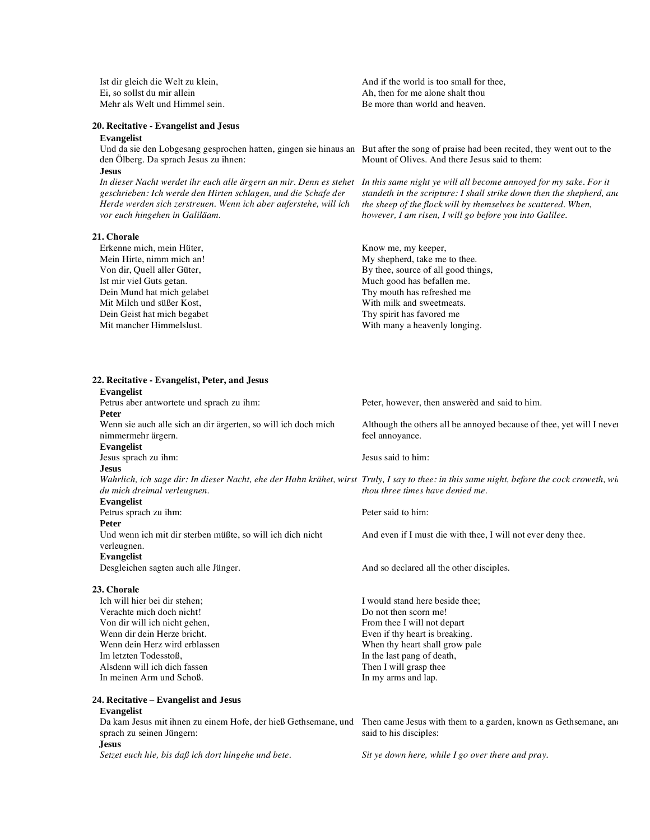| Ist dir gleich die Welt zu klein,<br>Ei, so sollst du mir allein                                                                     | And if the world is too small for thee.<br>Ah, then for me alone shalt thou                                                                |
|--------------------------------------------------------------------------------------------------------------------------------------|--------------------------------------------------------------------------------------------------------------------------------------------|
| Mehr als Welt und Himmel sein.                                                                                                       | Be more than world and heaven.                                                                                                             |
| 20. Recitative - Evangelist and Jesus                                                                                                |                                                                                                                                            |
| Evangelist                                                                                                                           |                                                                                                                                            |
| Und da sie den Lobgesang gesprochen hatten, gingen sie hinaus an But after the song of praise had been recited, they went out to the |                                                                                                                                            |
| den Ölberg. Da sprach Jesus zu ihnen:                                                                                                | Mount of Olives. And there Jesus said to them:                                                                                             |
| <b>Jesus</b>                                                                                                                         |                                                                                                                                            |
| In dieser Nacht werdet ihr euch alle ärgern an mir. Denn es stehet<br>geschrieben: Ich werde den Hirten schlagen, und die Schafe der | In this same night ye will all become annoyed for my sake. For it<br>standeth in the scripture: I shall strike down then the shepherd, and |
| Herde werden sich zerstreuen. Wenn ich aber auferstehe, will ich<br>vor euch hingehen in Galiläam.                                   | the sheep of the flock will by themselves be scattered. When,<br>however, I am risen, I will go before you into Galilee.                   |
| 21. Chorale                                                                                                                          |                                                                                                                                            |

Erkenne mich, mein Hüter, Mein Hirte, nimm mich an! Von dir, Quell aller Güter,<br>Ist mir viel Guts getan. Know me, my keeper, My shepherd, take me to thee. By thee, source of all good things, Much good has befallen me. Dein Mund hat mich gelabet Mit Milch und süßer Kost, Dein Geist hat mich begabet Mit mancher Himmelslust. Thy mouth has refreshed me With milk and sweetmeats. Thy spirit has favored me With many a heavenly longing.

| 22. Recitative - Evangelist, Peter, and Jesus                                        |                                                                                                                                                                                |
|--------------------------------------------------------------------------------------|--------------------------------------------------------------------------------------------------------------------------------------------------------------------------------|
| <b>Evangelist</b>                                                                    |                                                                                                                                                                                |
| Petrus aber antwortete und sprach zu ihm:                                            | Peter, however, then answered and said to him.                                                                                                                                 |
| <b>Peter</b>                                                                         |                                                                                                                                                                                |
| Wenn sie auch alle sich an dir ärgerten, so will ich doch mich<br>nimmermehr ärgern. | Although the others all be annoyed because of thee, yet will I never<br>feel annoyance.                                                                                        |
| <b>Evangelist</b>                                                                    |                                                                                                                                                                                |
| Jesus sprach zu ihm:                                                                 | Jesus said to him:                                                                                                                                                             |
| <b>Jesus</b>                                                                         |                                                                                                                                                                                |
| du mich dreimal verleugnen.                                                          | Wahrlich, ich sage dir: In dieser Nacht, ehe der Hahn krähet, wirst Truly, I say to thee: in this same night, before the cock croweth, wi.<br>thou three times have denied me. |
| <b>Evangelist</b>                                                                    |                                                                                                                                                                                |
| Petrus sprach zu ihm:                                                                | Peter said to him:                                                                                                                                                             |
| Peter                                                                                |                                                                                                                                                                                |
| Und wenn ich mit dir sterben müßte, so will ich dich nicht                           | And even if I must die with thee, I will not ever deny thee.                                                                                                                   |
| verleugnen.                                                                          |                                                                                                                                                                                |
| <b>Evangelist</b>                                                                    |                                                                                                                                                                                |
| Desgleichen sagten auch alle Jünger.                                                 | And so declared all the other disciples.                                                                                                                                       |
| 23. Chorale                                                                          |                                                                                                                                                                                |
| Ich will hier bei dir stehen;                                                        | I would stand here beside thee;                                                                                                                                                |
| Verachte mich doch nicht!                                                            | Do not then scorn me!                                                                                                                                                          |
| Von dir will ich nicht gehen,                                                        | From thee I will not depart                                                                                                                                                    |
| Wenn dir dein Herze bricht.                                                          | Even if thy heart is breaking.                                                                                                                                                 |
| Wenn dein Herz wird erblassen                                                        | When thy heart shall grow pale                                                                                                                                                 |
| Im letzten Todesstoß,                                                                | In the last pang of death,                                                                                                                                                     |
| Alsdenn will ich dich fassen                                                         | Then I will grasp thee                                                                                                                                                         |
| In meinen Arm und Schoß.                                                             | In my arms and lap.                                                                                                                                                            |
| 24. Recitative – Evangelist and Jesus                                                |                                                                                                                                                                                |
| <b>Evangelist</b>                                                                    |                                                                                                                                                                                |
| Da kam Jesus mit ihnen zu einem Hofe, der hieß Gethsemane, und                       | Then came Jesus with them to a garden, known as Gethsemane, and                                                                                                                |
| sprach zu seinen Jüngern:                                                            | said to his disciples:                                                                                                                                                         |
| <b>Jesus</b>                                                                         |                                                                                                                                                                                |
| Setzet euch hie, bis daß ich dort hingehe und bete.                                  | Sit ye down here, while I go over there and pray.                                                                                                                              |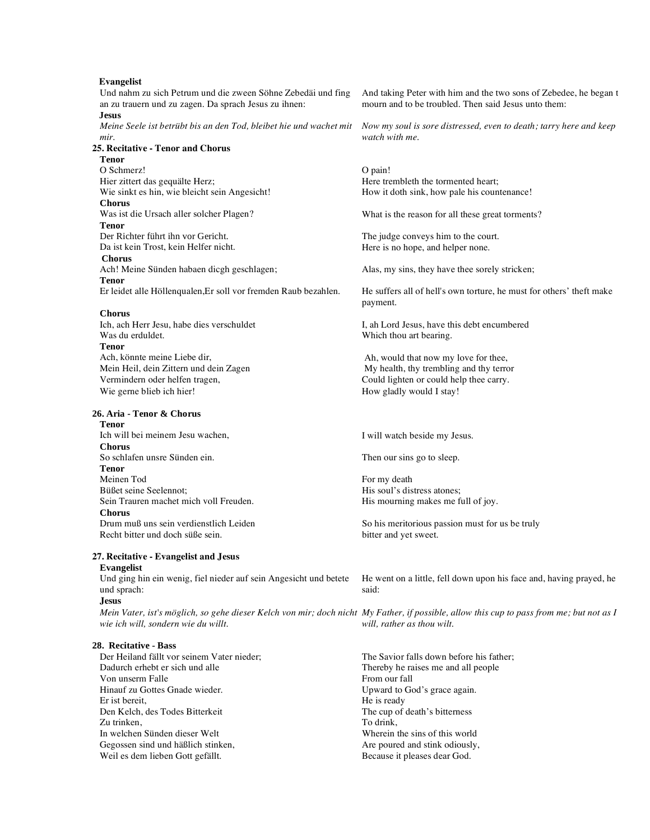# **Evangelist**

Und nahm zu sich Petrum und die zween Söhne Zebedäi und fing an zu trauern und zu zagen. Da sprach Jesus zu ihnen:  **Jesus** 

*Meine Seele ist betrübt bis an den Tod, bleibet hie und wachet mit mir.* 

**25. Recitative - Tenor and Chorus** 

# **Tenor**

O Schmerz! O pain! Hier zittert das gequälte Herz;<br>
Wie sinkt es hin, wie bleicht sein Angesicht! How it doth sink, how pale his count **Chorus**  Was ist die Ursach aller solcher Plagen? What is the reason for all these great torments? **Tenor**  Der Richter führt ihn vor Gericht. Da ist kein Trost, kein Helfer nicht.  **Chorus**  Ach! Meine Sünden habaen dicgh geschlagen; **Tenor**  Er leidet alle Höllenqualen, Er soll vor fremden Raub bezahlen.

# **Chorus**

Was du erduldet. Which thou art bearing. **Tenor**  Ach, könnte meine Liebe dir,<br>
Mein Heil, dein Zittern und dein Zagen<br>
My health, thy trembling and thy terro Vermindern oder helfen tragen, Could lighten or could help thee carry. Wie gerne blieb ich hier! How gladly would I stay!

# **26. Aria - Tenor & Chorus**

**Tenor**<br>
Ich will bei meinem Jesu wachen. **Chorus**  So schlafen unsre Sünden ein. Then our sins go to sleep. **Tenor**  Meinen Tod For my death B¸flet seine Seelennot; His soulís distress atones; Sein Trauren machet mich voll Freuden. **Chorus**<br>Drum muß uns sein verdienstlich Leiden

## **27. Recitative - Evangelist and Jesus**

## **Evangelist**

Und ging hin ein wenig, fiel nieder auf sein Angesicht und betete und sprach:

# **Jesus**

Mein Vater, ist's möglich, so gehe dieser Kelch von mir; doch nicht My Father, if possible, allow this cup to pass from me; but not as I *wie ich will, sondern wie du willt.* 

# **28. Recitative - Bass**  Von unserm Falle

Hinauf zu Gottes Gnade wieder.<br>
Er ist bereit. He is ready<br>
He is ready Den Kelch, des Todes Bitterkeit The cup of death's bitterness<br>
The cup of death's bitterness<br>
To drink. Zu trinken,<br>
In welchen Sünden dieser Welt Sunday and To drink,<br>
To drink,<br>
Wherein the sins of this world In welchen Sünden dieser Welt Gegossen sind und häßlich stinken, Are poured and stink odiously, Weil es dem lieben Gott gefällt. Because it pleases dear God.

And taking Peter with him and the two sons of Zebedee, he began t mourn and to be troubled. Then said Jesus unto them:

*Now my soul is sore distressed, even to death; tarry here and keep watch with me.* 

How it doth sink, how pale his countenance!

The judge conveys him to the court. Here is no hope, and helper none.

Alas, my sins, they have thee sorely stricken;

He suffers all of hell's own torture, he must for others' theft make payment.

Ich, ach Herr Jesu, habe dies verschuldet I, ah Lord Jesus, have this debt encumbered

My health, thy trembling and thy terror

I will watch beside my Jesus.

So his meritorious passion must for us be truly Recht bitter und doch süße sein. bitter and yet sweet.

> He went on a little, fell down upon his face and, having prayed, he said:

*will, rather as thou wilt.* 

Der Heiland fällt vor seinem Vater nieder; The Savior falls down before his father; The Savior falls down before his father; The Savior falls down before his father; Thereby he raises me and all people<br>From our fall He is ready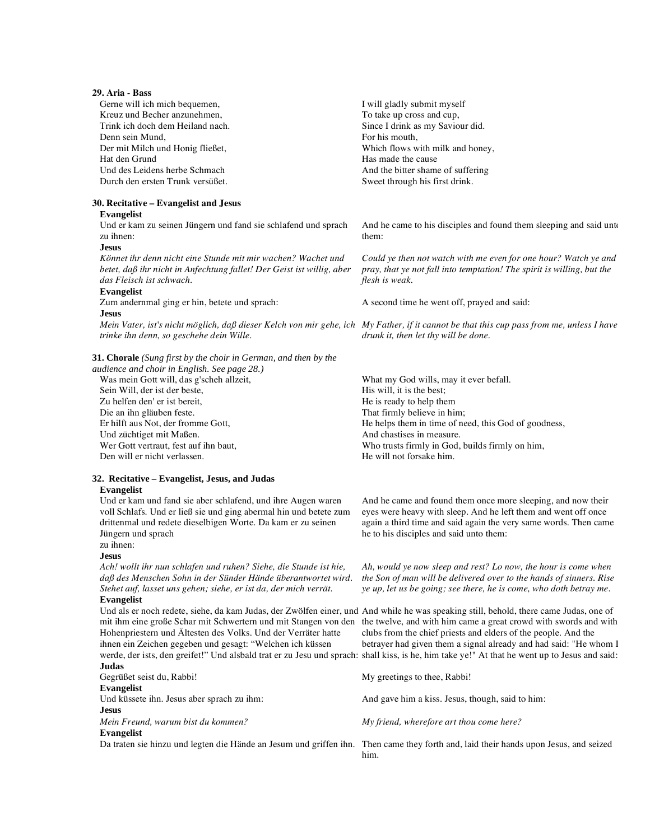## **29. Aria - Bass**

| Gerne will ich mich bequemen,    | I will gladly submit myself       |
|----------------------------------|-----------------------------------|
| Kreuz und Becher anzunehmen,     | To take up cross and cup,         |
| Trink ich doch dem Heiland nach. | Since I drink as my Saviour did.  |
| Denn sein Mund,                  | For his mouth.                    |
| Der mit Milch und Honig fließet, | Which flows with milk and honey,  |
| Hat den Grund                    | Has made the cause                |
| Und des Leidens herbe Schmach    | And the bitter shame of suffering |
| Durch den ersten Trunk versüßet. | Sweet through his first drink.    |
|                                  |                                   |

# **30. Recitative – Evangelist and Jesus**

Und er kam zu seinen Jüngern und fand sie schlafend und sprach zu ihnen:

## **Jesus**

*Kˆnnet ihr denn nicht eine Stunde mit mir wachen? Wachet und betet, dafl ihr nicht in Anfechtung fallet! Der Geist ist willig, aber das Fleisch ist schwach.* 

## **Evangelist**

**Jesus** 

*Mein Vater, ist's nicht mˆglich, dafl dieser Kelch von mir gehe, ich My Father, if it cannot be that this cup pass from me, unless I have trinke ihn denn, so geschehe dein Wille.* 

**31. Chorale** *(Sung first by the choir in German, and then by the* 

*audience and choir in English. See page 28.)* Was mein Gott will, das g'scheh allzeit, What my God wills, may it ever befall. Sein Will, der ist der beste, His will, it is the best; Zu helfen den' er ist bereit, He is ready to help them Die an ihn gläuben feste. That firmly believe in him; Und züchtiget mit Maßen. And chastises in measure. Den will er nicht verlassen.

# **32. Recitative – Evangelist, Jesus, and Judas**

## **Evangelist**

Und er kam und fand sie aber schlafend, und ihre Augen waren voll Schlafs. Und er liefl sie und ging abermal hin und betete zum drittenmal und redete dieselbigen Worte. Da kam er zu seinen Jüngern und sprach

# zu ihnen:

## **Jesus**

*Ach! wollt ihr nun schlafen und ruhen? Siehe, die Stunde ist hie,*   $daβ$  des Menschen Sohn in der Sünder Hände überantwortet wird. Stehet auf, lasset uns gehen; siehe, er ist da, der mich verrät.

# **Evangelist**

mit ihm eine große Schar mit Schwertern und mit Stangen von den the twelve, and with him came a great crowd with swords and with Hohenpriestern und Ältesten des Volks. Und der Verräter hatte ihnen ein Zeichen gegeben und gesagt: "Welchen ich küssen

**Judas**  Gegrüßet seist du, Rabbi! My greetings to thee, Rabbi! **Evangelist** 

**Jesus**  *Mein Freund, warum bist du kommen? My friend, wherefore art thou come here?* 

# **Evangelist**

And he came to his disciples and found them sleeping and said unto them:

*Could ye then not watch with me even for one hour? Watch ye and pray, that ye not fall into temptation! The spirit is willing, but the flesh is weak.* 

Zum andernmal ging er hin, betete und sprach: A second time he went off, prayed and said:

*drunk it, then let thy will be done.* 

Er hilft aus Not, der fromme Gott, he helps them in time of need, this God of goodness, Wer Gott vertraut, fest auf ihn baut,<br>
Den will er nicht verlassen.<br>
Who trusts firmly in God, builds firmly on him,<br>
He will not forsake him.

> And he came and found them once more sleeping, and now their eyes were heavy with sleep. And he left them and went off once again a third time and said again the very same words. Then came he to his disciples and said unto them:

> *Ah, would ye now sleep and rest? Lo now, the hour is come when the Son of man will be delivered over to the hands of sinners. Rise ye up, let us be going; see there, he is come, who doth betray me.*

Und als er noch redete, siehe, da kam Judas, der Zwölfen einer, und And while he was speaking still, behold, there came Judas, one of werde, der ists, den greifet!" Und alsbald trat er zu Jesu und sprach: shall kiss, is he, him take ye!" At that he went up to Jesus and said: clubs from the chief priests and elders of the people. And the betrayer had given them a signal already and had said: "He whom I

Und küssete ihn. Jesus aber sprach zu ihm: And gave him a kiss. Jesus, though, said to him:

Da traten sie hinzu und legten die Hände an Jesum und griffen ihn. Then came they forth and, laid their hands upon Jesus, and seized him.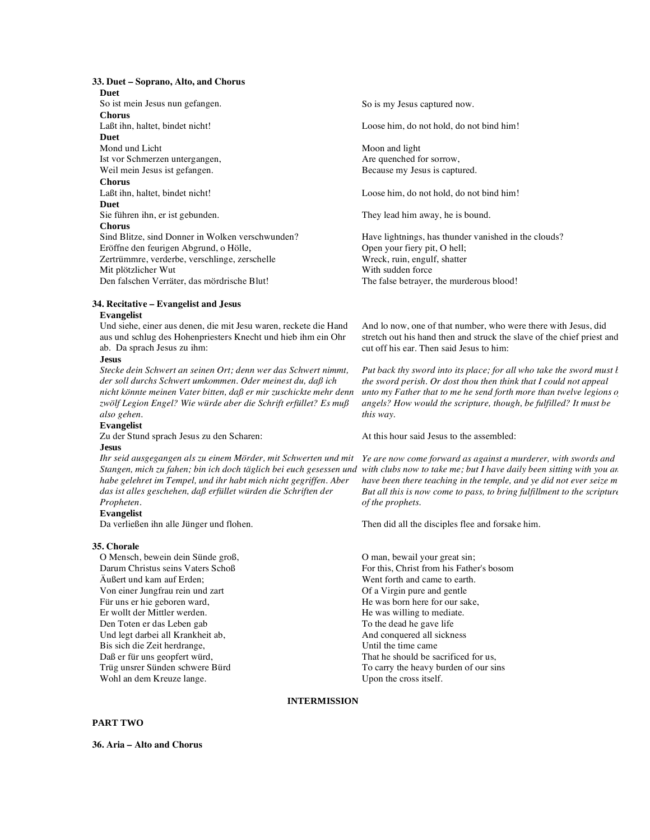# **33. Duet - Soprano, Alto, and Chorus**

**Duet**<br>So ist mein Jesus nun gefangen. **Chorus** 

**Duet**  Mond und Licht Moon and light Ist vor Schmerzen untergangen, Are quenched for sorrow,

**Chorus** 

## **Duet**

## **Chorus**

Eröffne den feurigen Abgrund, o Hölle, Open your fiery pit, O hell;<br>
Zertrümmre, verderbe, verschlinge, zerschelle Wreck, ruin, engulf, shatter Zertrümmre, verderbe, verschlinge, zerschelle Wreck, ruin, engulf, Wreck, ruin, engulf, Mit blötzlicher Wut Mit plötzlicher Wut<br>Den falschen Verräter, das mördrische Blut!<br>The false betrayer, the murderous blood! Den falschen Verräter, das mördrische Blut!

# **34. Recitative – Evangelist and Jesus**

# **Evangelist**

Und siehe, einer aus denen, die mit Jesu waren, reckete die Hand aus und schlug des Hohenpriesters Knecht und hieb ihm ein Ohr ab. Da sprach Jesus zu ihm:

# **Jesus**

*Stecke dein Schwert an seinen Ort; denn wer das Schwert nimmt, der soll durchs Schwert umkommen. Oder meinest du, dafl ich nicht kˆnnte meinen Vater bitten, dafl er mir zuschickte mehr denn*  zwölf Legion Engel? Wie würde aber die Schrift erfüllet? Es muß *also gehen.* 

# **Evangelist**

Zu der Stund sprach Jesus zu den Scharen: At this hour said Jesus to the assembled:

# **Jesus**

Ihr seid ausgegangen als zu einem Mörder, mit Schwerten und mit *Stangen, mich zu fahen; bin ich doch t‰glich bei euch gesessen und habe gelehret im Tempel, und ihr habt mich nicht gegriffen. Aber*   $das$  ist alles geschehen, daß erfüllet würden die Schriften der *Propheten.* 

# **Evangelist**

# **35. Chorale**

O Mensch, bewein dein Sünde groß, Coman, bewail your great sin; Außert und kam auf Erden; The Communisties of the Went forth and came to earth. Von einer Jungfrau rein und zart Of a Virgin pure and gentle Für uns er hie geboren ward,<br>
Er wollt der Mittler werden.<br>
He was willing to mediate.<br>
He was willing to mediate. Er wollt der Mittler werden.<br>
Den Toten er das Leben gab der andere andere andere andere andere andere andere andere andere andere andere a<br>
To the dead he gave life Den Toten er das Leben gab Und legt darbei all Krankheit ab, and the state of the And conquered all sickness Bis sich die Zeit herdrange,<br>
Daß er für uns geopfert würd.<br>
Daß er für uns geopfert würd.<br>
Daß er für uns geopfert würd. Daß er für uns geopfert würd,<br>Trüg unsrer Sünden schwere Bürd Wohl an dem Kreuze lange.

So is my Jesus captured now.

Laßt ihn, haltet, bindet nicht! Loose him, do not hold, do not bind him!

Weil mein Jesus ist gefangen. Because my Jesus is captured.

Loose him, do not hold, do not bind him!

Sie führen ihn, er ist gebunden. They lead him away, he is bound.

Sind Blitze, sind Donner in Wolken verschwunden? Have lightnings, has thunder vanished in the clouds?

And lo now, one of that number, who were there with Jesus, did stretch out his hand then and struck the slave of the chief priest and cut off his ear. Then said Jesus to him:

Put back thy sword into its place; for all who take the sword must *l the sword perish. Or dost thou then think that I could not appeal*  unto my Father that to me he send forth more than twelve legions of *angels? How would the scripture, though, be fulfilled? It must be this way.* 

*Ye are now come forward as against a murderer, with swords and with clubs now to take me; but I have daily been sitting with you an have been there teaching in the temple, and ye did not ever seize m But all this is now come to pass, to bring fulfillment to the scripture of the prophets.* 

Da verließen ihn alle Jünger und flohen. Then did all the disciples flee and forsake him.

Darum Christus seins Vaters Schoß For this, Christ from his Father's bosom To carry the heavy burden of our sins<br>Upon the cross itself.

# **INTERMISSION**

# **PART TWO**

**36. Aria – Alto and Chorus**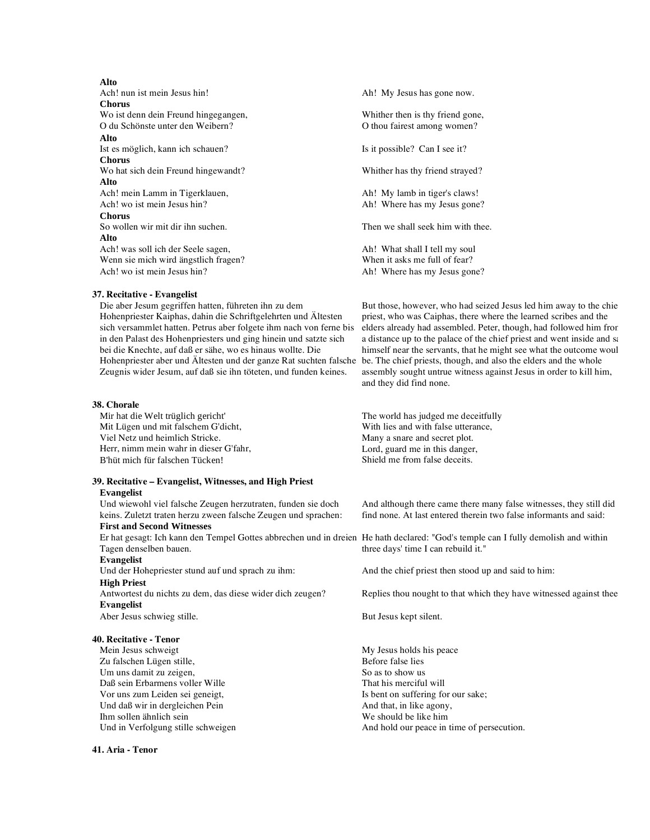# **Alto**  Ach! nun ist mein Jesus hin! Ah! My Jesus has gone now. **Chorus**  Wo ist denn dein Freund hingegangen, Whither then is thy friend gone, O du Schönste unter den Weibern? Othou fairest among women? **Alto**  Ist es möglich, kann ich schauen? Is it possible? Can I see it? **Chorus**  Wo hat sich dein Freund hingewandt? Whither has thy friend strayed? **Alto**  Ach! mein Lamm in Tigerklauen, Ah! My lamb in tiger's claws! Ach! wo ist mein Jesus hin? Ah! Where has my Jesus gone? **Chorus**  So wollen wir mit dir ihn suchen. Then we shall seek him with thee. **Alto**  Ach! was soll ich der Seele sagen, Ah! What shall I tell my soul Wenn sie mich wird ängstlich fragen? When it asks me full of fear? Ach! wo ist mein Jesus hin? Ah! Where has my Jesus gone?

# **37. Recitative - Evangelist**

Die aber Jesum gegriffen hatten, führeten ihn zu dem Hohenpriester Kaiphas, dahin die Schriftgelehrten und Ältesten sich versammlet hatten. Petrus aber folgete ihm nach von ferne bis in den Palast des Hohenpriesters und ging hinein und satzte sich bei die Knechte, auf daß er sähe, wo es hinaus wollte. Die Hohenpriester aber und Ältesten und der ganze Rat suchten falsche Zeugnis wider Jesum, auf daß sie ihn töteten, und funden keines.

## **38. Chorale**

Mir hat die Welt trüglich gericht' Mit Lügen und mit falschem G'dicht, Viel Netz und heimlich Stricke. Herr, nimm mein wahr in dieser G'fahr, B'hüt mich für falschen Tücken!

## **39. Recitative ñ Evangelist, Witnesses, and High Priest**

## **Evangelist**

Und wiewohl viel falsche Zeugen herzutraten, funden sie doch keins. Zuletzt traten herzu zween falsche Zeugen und sprachen: **First and Second Witnesses** 

Tagen denselben bauen.

# **Evangelist**

**High Priest Evangelist**  Aber Jesus schwieg stille. But Jesus kept silent.

**40. Recitative - Tenor**  Mein Jesus schweigt

- Zu falschen Lügen stille,
- Um uns damit zu zeigen,
- Daß sein Erbarmens voller Wille
- Vor uns zum Leiden sei geneigt,
- Und dafl wir in dergleichen Pein
- Ihm sollen ähnlich sein
- Und in Verfolgung stille schweigen

# **41. Aria - Tenor**

But those, however, who had seized Jesus led him away to the chie priest, who was Caiphas, there where the learned scribes and the elders already had assembled. Peter, though, had followed him from a distance up to the palace of the chief priest and went inside and sa himself near the servants, that he might see what the outcome woul be. The chief priests, though, and also the elders and the whole assembly sought untrue witness against Jesus in order to kill him, and they did find none.

The world has judged me deceitfully With lies and with false utterance, Many a snare and secret plot. Lord, guard me in this danger, Shield me from false deceits.

And although there came there many false witnesses, they still did find none. At last entered therein two false informants and said:

Er hat gesagt: Ich kann den Tempel Gottes abbrechen und in dreien He hath declared: "God's temple can I fully demolish and within three days' time I can rebuild it."

Und der Hohepriester stund auf und sprach zu ihm: And the chief priest then stood up and said to him:

Replies thou nought to that which they have witnessed against thee

My Jesus holds his peace Before false lies So as to show us That his merciful will Is bent on suffering for our sake; And that, in like agony, We should be like him And hold our peace in time of persecution.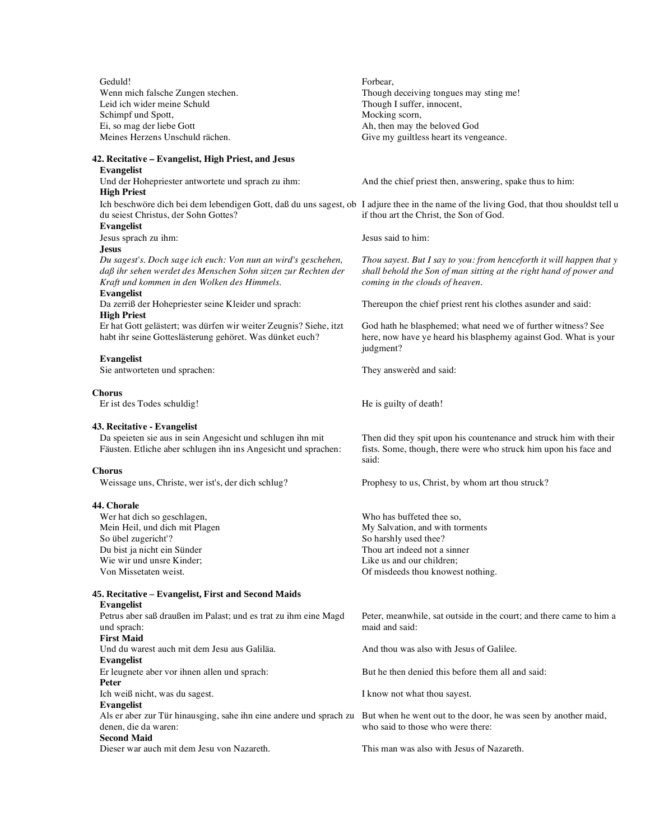| Forbear,                                                                                                                                 |
|------------------------------------------------------------------------------------------------------------------------------------------|
| Though deceiving tongues may sting me!                                                                                                   |
| Though I suffer, innocent,                                                                                                               |
| Mocking scorn,                                                                                                                           |
| Ah, then may the beloved God                                                                                                             |
| Give my guiltless heart its vengeance.                                                                                                   |
|                                                                                                                                          |
|                                                                                                                                          |
| And the chief priest then, answering, spake thus to him:                                                                                 |
|                                                                                                                                          |
| Ich beschwöre dich bei dem lebendigen Gott, daß du uns sagest, ob I adjure thee in the name of the living God, that thou shouldst tell u |
| if thou art the Christ, the Son of God.                                                                                                  |
|                                                                                                                                          |
| Jesus said to him:                                                                                                                       |
|                                                                                                                                          |
| Thou sayest. But I say to you: from henceforth it will happen that y                                                                     |
| shall behold the Son of man sitting at the right hand of power and                                                                       |
| coming in the clouds of heaven.                                                                                                          |
|                                                                                                                                          |
| Thereupon the chief priest rent his clothes asunder and said:                                                                            |
|                                                                                                                                          |
| God hath he blasphemed; what need we of further witness? See                                                                             |
| here, now have ye heard his blasphemy against God. What is your                                                                          |
| judgment?                                                                                                                                |
|                                                                                                                                          |
| They answered and said:                                                                                                                  |
|                                                                                                                                          |
|                                                                                                                                          |
|                                                                                                                                          |
| He is guilty of death!                                                                                                                   |
|                                                                                                                                          |
|                                                                                                                                          |
| Then did they spit upon his countenance and struck him with their                                                                        |
| fists. Some, though, there were who struck him upon his face and<br>said:                                                                |
|                                                                                                                                          |
| Prophesy to us, Christ, by whom art thou struck?                                                                                         |
|                                                                                                                                          |
|                                                                                                                                          |
| Who has buffeted thee so,                                                                                                                |
| My Salvation, and with torments                                                                                                          |
| So harshly used thee?                                                                                                                    |
| Thou art indeed not a sinner                                                                                                             |
| Like us and our children;                                                                                                                |
| Of misdeeds thou knowest nothing.                                                                                                        |
|                                                                                                                                          |
|                                                                                                                                          |
| Peter, meanwhile, sat outside in the court; and there came to him a                                                                      |
| maid and said:                                                                                                                           |
|                                                                                                                                          |
|                                                                                                                                          |
| And thou was also with Jesus of Galilee.                                                                                                 |
| But he then denied this before them all and said:                                                                                        |
|                                                                                                                                          |
|                                                                                                                                          |
| I know not what thou sayest.                                                                                                             |
| Als er aber zur Tür hinausging, sahe ihn eine andere und sprach zu But when he went out to the door, he was seen by another maid,        |
| who said to those who were there:                                                                                                        |
|                                                                                                                                          |
|                                                                                                                                          |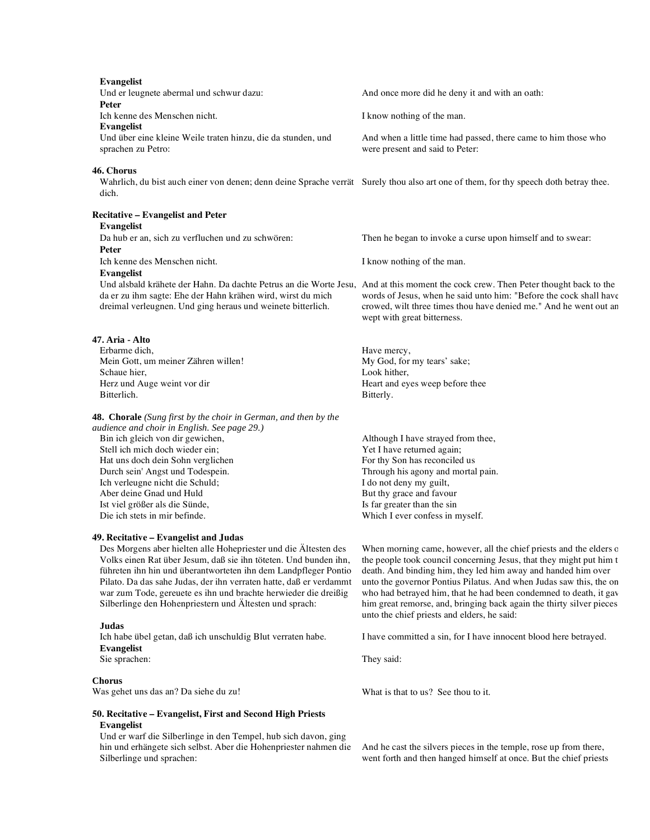| <b>Evangelist</b>                                                                                                                    |                                                                                                                                    |
|--------------------------------------------------------------------------------------------------------------------------------------|------------------------------------------------------------------------------------------------------------------------------------|
| Und er leugnete abermal und schwur dazu:                                                                                             | And once more did he deny it and with an oath:                                                                                     |
| Peter                                                                                                                                |                                                                                                                                    |
| Ich kenne des Menschen nicht.                                                                                                        | I know nothing of the man.                                                                                                         |
| <b>Evangelist</b>                                                                                                                    |                                                                                                                                    |
| Und über eine kleine Weile traten hinzu, die da stunden, und<br>sprachen zu Petro:                                                   | And when a little time had passed, there came to him those who<br>were present and said to Peter:                                  |
| 46. Chorus                                                                                                                           |                                                                                                                                    |
| Wahrlich, du bist auch einer von denen; denn deine Sprache verrät Surely thou also art one of them, for thy speech doth betray thee. |                                                                                                                                    |
| dich.                                                                                                                                |                                                                                                                                    |
| <b>Recitative - Evangelist and Peter</b>                                                                                             |                                                                                                                                    |
| <b>Evangelist</b>                                                                                                                    |                                                                                                                                    |
| Da hub er an, sich zu verfluchen und zu schwören:                                                                                    | Then he began to invoke a curse upon himself and to swear:                                                                         |
| Peter                                                                                                                                |                                                                                                                                    |
| Ich kenne des Menschen nicht.                                                                                                        | I know nothing of the man.                                                                                                         |
| <b>Evangelist</b>                                                                                                                    |                                                                                                                                    |
|                                                                                                                                      | Und alsbald krähete der Hahn. Da dachte Petrus an die Worte Jesu, And at this moment the cock crew. Then Peter thought back to the |
| da er zu ihm sagte: Ehe der Hahn krähen wird, wirst du mich                                                                          | words of Jesus, when he said unto him: "Before the cock shall have                                                                 |
| dreimal verleugnen. Und ging heraus und weinete bitterlich.                                                                          | crowed, wilt three times thou have denied me." And he went out an                                                                  |
|                                                                                                                                      | wept with great bitterness.                                                                                                        |
| 47. Aria - Alto                                                                                                                      |                                                                                                                                    |
| Erbarme dich.                                                                                                                        | Have mercy,                                                                                                                        |
| Mein Gott, um meiner Zähren willen!                                                                                                  | My God, for my tears' sake;                                                                                                        |
| Schaue hier,                                                                                                                         | Look hither,                                                                                                                       |
| Herz und Auge weint vor dir                                                                                                          | Heart and eyes weep before thee                                                                                                    |
| Bitterlich.                                                                                                                          | Bitterly.                                                                                                                          |
| <b>48. Chorale</b> (Sung first by the choir in German, and then by the                                                               |                                                                                                                                    |
| audience and choir in English. See page 29.)                                                                                         |                                                                                                                                    |
| Bin ich gleich von dir gewichen,                                                                                                     | Although I have strayed from thee,                                                                                                 |
| Stell ich mich doch wieder ein:                                                                                                      | Yet I have returned again;                                                                                                         |
| Hat uns doch dein Sohn verglichen                                                                                                    | For thy Son has reconciled us                                                                                                      |
| Durch sein' Angst und Todespein.                                                                                                     | Through his agony and mortal pain.                                                                                                 |
| Ich verleugne nicht die Schuld;                                                                                                      | I do not deny my guilt,                                                                                                            |
| Aber deine Gnad und Huld                                                                                                             | But thy grace and favour                                                                                                           |
| Ist viel größer als die Sünde,                                                                                                       | Is far greater than the sin                                                                                                        |
| Die ich stets in mir befinde.                                                                                                        | Which I ever confess in myself.                                                                                                    |
| 49. Recitative - Evangelist and Judas                                                                                                |                                                                                                                                    |
| Des Morgens aber hielten alle Hohepriester und die Ältesten des                                                                      | When morning came, however, all the chief priests and the elders c                                                                 |
| Volks einen Rat über Jesum, daß sie ihn töteten. Und bunden ihn,                                                                     | the people took council concerning Jesus, that they might put him t                                                                |
| führeten ihn hin und überantworteten ihn dem Landpfleger Pontio                                                                      | death. And binding him, they led him away and handed him over                                                                      |
| Pilato. Da das sahe Judas, der ihn verraten hatte, daß er verdammt                                                                   | unto the governor Pontius Pilatus. And when Judas saw this, the on                                                                 |
| war zum Tode, gereuete es ihn und brachte herwieder die dreißig                                                                      | who had betrayed him, that he had been condemned to death, it gav                                                                  |
| Silberlinge den Hohenpriestern und Ältesten und sprach:                                                                              | him great remorse, and, bringing back again the thirty silver pieces                                                               |
|                                                                                                                                      | unto the chief priests and elders, he said:                                                                                        |

**Judas Evangelist**  Sie sprachen: They said:

# **Chorus**

Was gehet uns das an? Da siehe du zu! What is that to us? See thou to it.

# **50. Recitative ñ Evangelist, First and Second High Priests Evangelist**

Und er warf die Silberlinge in den Tempel, hub sich davon, ging hin und erhängete sich selbst. Aber die Hohenpriester nahmen die Silberlinge und sprachen:

I have committed a sin, for I have innocent blood here betrayed.

And he cast the silvers pieces in the temple, rose up from there, went forth and then hanged himself at once. But the chief priests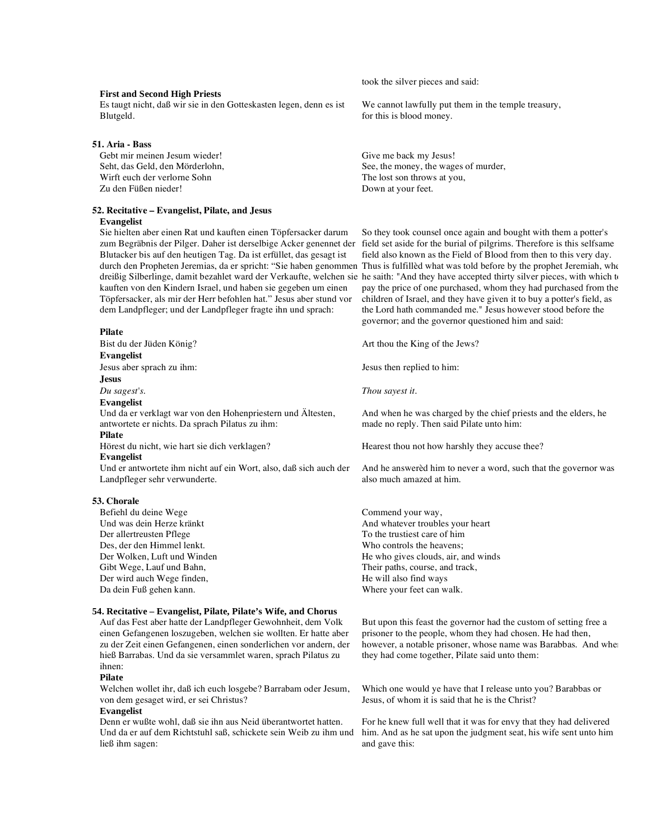## **First and Second High Priests**

Es taugt nicht, dafl wir sie in den Gotteskasten legen, denn es ist Blutgeld.

## **51. Aria - Bass**

Gebt mir meinen Jesum wieder! Seht, das Geld, den Mörderlohn, Wirft euch der verlorne Sohn Zu den Füßen nieder!

# **52. Recitative – Evangelist, Pilate, and Jesus**

# **Evangelist**

Sie hielten aber einen Rat und kauften einen Töpfersacker darum zum Begräbnis der Pilger. Daher ist derselbige Acker genennet der Blutacker bis auf den heutigen Tag. Da ist erfüllet, das gesagt ist durch den Propheten Jeremias, da er spricht: "Sie haben genommen kauften von den Kindern Israel, und haben sie gegeben um einen Töpfersacker, als mir der Herr befohlen hat." Jesus aber stund vor dem Landpfleger; und der Landpfleger fragte ihn und sprach:

# **Pilate**

Bist du der Jüden König? Art thou the King of the Jews? **Evangelist**  Jesus aber sprach zu ihm: Jesus then replied to him: **Jesus**  *Du sagest's. Thou sayest it.* **Evangelist**  Und da er verklagt war von den Hohenpriestern und Ältesten, antwortete er nichts. Da sprach Pilatus zu ihm: made no reply. Then said Pilate unto him: **Pilate**  Hörest du nicht, wie hart sie dich verklagen? Hearest thou not how harshly they accuse thee? **Evangelist**  Und er antwortete ihm nicht auf ein Wort, also, dafl sich auch der Landpfleger sehr verwunderte. also much amazed at him. **53. Chorale**  Befiehl du deine Wege Commend your way, Commend your way, Commend your way, Commend your way, Commend your way, And whatever troubles your heart

Der allertreusten Pflege To the trustiest care of him Des, der den Himmel lenkt. Who controls the heavens; Der wird auch Wege finden, het wird auch Wege finden, He will also find ways Da dein Fuß gehen kann. Where your feet can walk.

# **54. Recitative – Evangelist, Pilate, Pilate's Wife, and Chorus**

Auf das Fest aber hatte der Landpfleger Gewohnheit, dem Volk einen Gefangenen loszugeben, welchen sie wollten. Er hatte aber zu der Zeit einen Gefangenen, einen sonderlichen vor andern, der hieß Barrabas. Und da sie versammlet waren, sprach Pilatus zu ihnen:

## **Pilate**

Welchen wollet ihr, daß ich euch losgebe? Barrabam oder Jesum, von dem gesaget wird, er sei Christus?

## **Evangelist**

Denn er wußte wohl, daß sie ihn aus Neid überantwortet hatten. Und da er auf dem Richtstuhl saß, schickete sein Weib zu ihm und ließ ihm sagen:

took the silver pieces and said:

We cannot lawfully put them in the temple treasury, for this is blood money.

Give me back my Jesus! See, the money, the wages of murder, The lost son throws at you, Down at your feet.

dreißig Silberlinge, damit bezahlet ward der Verkaufte, welchen sie he saith: "And they have accepted thirty silver pieces, with which to So they took counsel once again and bought with them a potter's field set aside for the burial of pilgrims. Therefore is this selfsame field also known as the Field of Blood from then to this very day. Thus is fulfilled what was told before by the prophet Jeremiah, when pay the price of one purchased, whom they had purchased from the children of Israel, and they have given it to buy a potter's field, as the Lord hath commanded me." Jesus however stood before the governor; and the governor questioned him and said:

And when he was charged by the chief priests and the elders, he

And he answerèd him to never a word, such that the governor was

Der Wolken, Luft und Winden He who gives clouds, air, and winds<br>
Gibt Wege, Lauf und Bahn, Their paths, course, and track, Their paths, course, and track,

> But upon this feast the governor had the custom of setting free a prisoner to the people, whom they had chosen. He had then, however, a notable prisoner, whose name was Barabbas. And when they had come together, Pilate said unto them:

Which one would ye have that I release unto you? Barabbas or Jesus, of whom it is said that he is the Christ?

For he knew full well that it was for envy that they had delivered him. And as he sat upon the judgment seat, his wife sent unto him and gave this: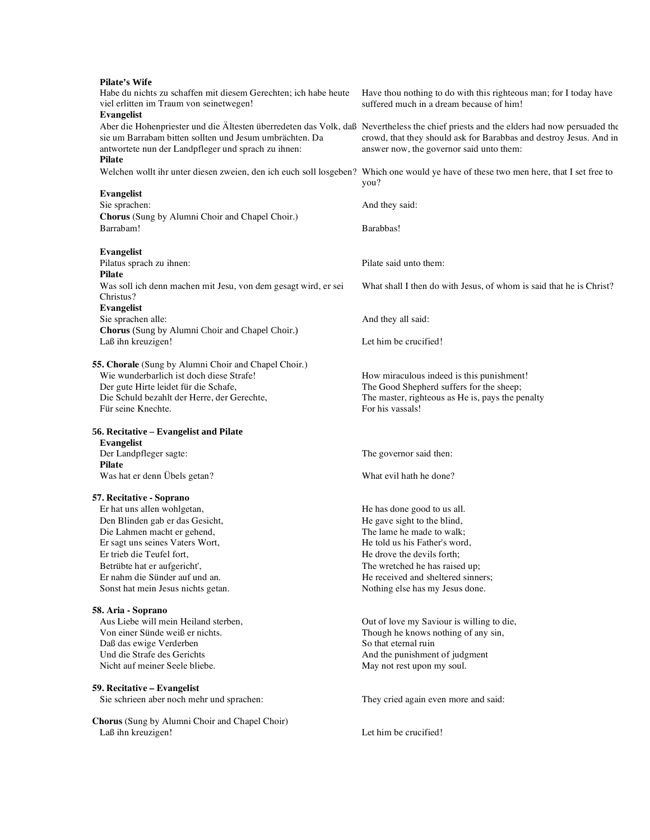| Pilate's Wife                                                                                                                        |                                                                                                                                       |
|--------------------------------------------------------------------------------------------------------------------------------------|---------------------------------------------------------------------------------------------------------------------------------------|
| Habe du nichts zu schaffen mit diesem Gerechten; ich habe heute                                                                      | Have thou nothing to do with this righteous man; for I today have                                                                     |
| viel erlitten im Traum von seinetwegen!                                                                                              | suffered much in a dream because of him!                                                                                              |
| Evangelist                                                                                                                           |                                                                                                                                       |
|                                                                                                                                      | Aber die Hohenpriester und die Ältesten überredeten das Volk, daß Nevertheless the chief priests and the elders had now persuaded the |
| sie um Barrabam bitten sollten und Jesum umbrächten. Da                                                                              | crowd, that they should ask for Barabbas and destroy Jesus. And in                                                                    |
|                                                                                                                                      |                                                                                                                                       |
| antwortete nun der Landpfleger und sprach zu ihnen:                                                                                  | answer now, the governor said unto them:                                                                                              |
| <b>Pilate</b>                                                                                                                        |                                                                                                                                       |
| Welchen wollt ihr unter diesen zweien, den ich euch soll losgeben? Which one would ye have of these two men here, that I set free to |                                                                                                                                       |
|                                                                                                                                      | you?                                                                                                                                  |
| <b>Evangelist</b>                                                                                                                    |                                                                                                                                       |
| Sie sprachen:                                                                                                                        | And they said:                                                                                                                        |
| Chorus (Sung by Alumni Choir and Chapel Choir.)                                                                                      |                                                                                                                                       |
| Barrabam!                                                                                                                            | Barabbas!                                                                                                                             |
|                                                                                                                                      |                                                                                                                                       |
| Evangelist                                                                                                                           |                                                                                                                                       |
| Pilatus sprach zu ihnen:                                                                                                             | Pilate said unto them:                                                                                                                |
| <b>Pilate</b>                                                                                                                        |                                                                                                                                       |
|                                                                                                                                      |                                                                                                                                       |
| Was soll ich denn machen mit Jesu, von dem gesagt wird, er sei                                                                       | What shall I then do with Jesus, of whom is said that he is Christ?                                                                   |
| Christus?                                                                                                                            |                                                                                                                                       |
| <b>Evangelist</b>                                                                                                                    |                                                                                                                                       |
| Sie sprachen alle:                                                                                                                   | And they all said:                                                                                                                    |
| Chorus (Sung by Alumni Choir and Chapel Choir.)                                                                                      |                                                                                                                                       |
| Laß ihn kreuzigen!                                                                                                                   | Let him be crucified!                                                                                                                 |
|                                                                                                                                      |                                                                                                                                       |
| 55. Chorale (Sung by Alumni Choir and Chapel Choir.)                                                                                 |                                                                                                                                       |
| Wie wunderbarlich ist doch diese Strafe!                                                                                             | How miraculous indeed is this punishment!                                                                                             |
| Der gute Hirte leidet für die Schafe,                                                                                                | The Good Shepherd suffers for the sheep;                                                                                              |
| Die Schuld bezahlt der Herre, der Gerechte,                                                                                          | The master, righteous as He is, pays the penalty                                                                                      |
| Für seine Knechte.                                                                                                                   | For his vassals!                                                                                                                      |
|                                                                                                                                      |                                                                                                                                       |
| 56. Recitative – Evangelist and Pilate                                                                                               |                                                                                                                                       |
| <b>Evangelist</b>                                                                                                                    |                                                                                                                                       |
| Der Landpfleger sagte:                                                                                                               | The governor said then:                                                                                                               |
| <b>Pilate</b>                                                                                                                        |                                                                                                                                       |
|                                                                                                                                      | What evil hath he done?                                                                                                               |
| Was hat er denn Übels getan?                                                                                                         |                                                                                                                                       |
|                                                                                                                                      |                                                                                                                                       |
| 57. Recitative - Soprano                                                                                                             |                                                                                                                                       |
| Er hat uns allen wohlgetan,                                                                                                          | He has done good to us all.                                                                                                           |
| Den Blinden gab er das Gesicht,                                                                                                      | He gave sight to the blind,                                                                                                           |
| Die Lahmen macht er gehend,                                                                                                          | The lame he made to walk;                                                                                                             |
| Er sagt uns seines Vaters Wort,                                                                                                      | He told us his Father's word,                                                                                                         |
| Er trieb die Teufel fort,                                                                                                            | He drove the devils forth;                                                                                                            |
| Betrübte hat er aufgericht',                                                                                                         | The wretched he has raised up;                                                                                                        |
| Er nahm die Sünder auf und an.                                                                                                       | He received and sheltered sinners;                                                                                                    |
| Sonst hat mein Jesus nichts getan.                                                                                                   | Nothing else has my Jesus done.                                                                                                       |
|                                                                                                                                      |                                                                                                                                       |
| 58. Aria - Soprano                                                                                                                   |                                                                                                                                       |
| Aus Liebe will mein Heiland sterben,                                                                                                 | Out of love my Saviour is willing to die,                                                                                             |
| Von einer Sünde weiß er nichts.                                                                                                      | Though he knows nothing of any sin,                                                                                                   |
| Daß das ewige Verderben                                                                                                              | So that eternal ruin                                                                                                                  |
| Und die Strafe des Gerichts                                                                                                          | And the punishment of judgment                                                                                                        |
| Nicht auf meiner Seele bliebe.                                                                                                       | May not rest upon my soul.                                                                                                            |
|                                                                                                                                      |                                                                                                                                       |
|                                                                                                                                      |                                                                                                                                       |
| 59. Recitative - Evangelist                                                                                                          |                                                                                                                                       |
| Sie schrieen aber noch mehr und sprachen:                                                                                            | They cried again even more and said:                                                                                                  |
|                                                                                                                                      |                                                                                                                                       |
| <b>Chorus</b> (Sung by Alumni Choir and Chapel Choir)                                                                                |                                                                                                                                       |
| Laß ihn kreuzigen!                                                                                                                   | Let him be crucified!                                                                                                                 |
|                                                                                                                                      |                                                                                                                                       |
|                                                                                                                                      |                                                                                                                                       |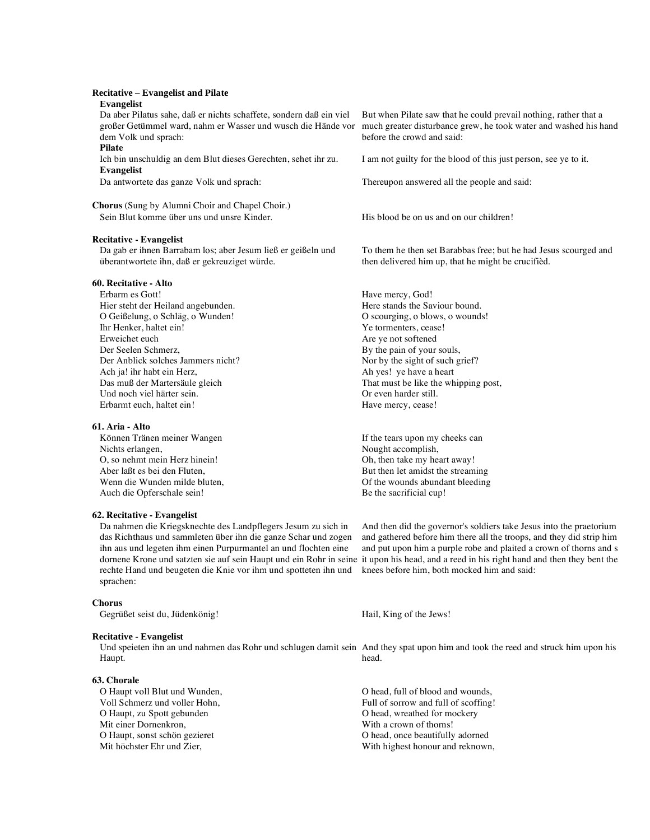# **Recitative – Evangelist and Pilate**

# **Evangelist**

Da aber Pilatus sahe, daß er nichts schaffete, sondern daß ein viel großer Getümmel ward, nahm er Wasser und wusch die Hände vor dem Volk und sprach:

# **Pilate**

Ich bin unschuldig an dem Blut dieses Gerechten, sehet ihr zu. I am not guilty for the blood of this just person, see ye to it. **Evangelist** 

**Chorus** (Sung by Alumni Choir and Chapel Choir.) Sein Blut komme über uns und unsre Kinder. His blood be on us and on our children!

# **Recitative - Evangelist**

Da gab er ihnen Barrabam los; aber Jesum ließ er geißeln und überantwortete ihn, daß er gekreuziget würde.

# **60. Recitative - Alto**

Erbarm es Gott!<br>
Have mercy, God!<br>
Here stands the Saviour bound. Hier steht der Heiland angebunden.<br>
O Geißelung, o Schläg, o Wunden!<br>
O scourging, o blows, o wounds! O Geißelung, o Schläg, o Wunden! Ihr Henker, haltet ein! Ye tormenters, cease! Erweichet euch Are ye not softened Der Seelen Schmerz, By the pain of your souls, Der Anblick solches Jammers nicht? Nor by the sight of such grief? Ach ja! ihr habt ein Herz, Ah yes! ye have a heart Das muß der Martersäule gleich That must be like the whipping post, Und noch viel härter sein.  $\qquad \qquad$  Or even harder still. Erbarmt euch, haltet ein! Have mercy, cease!

## **61. Aria - Alto**

Können Tränen meiner Wangen Nichts erlangen, O, so nehmt mein Herz hinein! Aber laßt es bei den Fluten, Wenn die Wunden milde bluten, Auch die Opferschale sein!

## **62. Recitative - Evangelist**

Da nahmen die Kriegsknechte des Landpflegers Jesum zu sich in das Richthaus und sammleten über ihn die ganze Schar und zogen ihn aus und legeten ihm einen Purpurmantel an und flochten eine dornene Krone und satzten sie auf sein Haupt und ein Rohr in seine rechte Hand und beugeten die Knie vor ihm und spotteten ihn und sprachen:

## **Chorus**

Gegrüßet seist du, Jüdenkönig! Hail, King of the Jews!

# **Recitative - Evangelist**

Haupt.

# **63. Chorale**

O Haupt, zu Spott gebunden O head, wreathed for mockery Mit einer Dornenkron,<br>
O Haupt, sonst schön gezieret<br>
O Head, once beautifully

But when Pilate saw that he could prevail nothing, rather that a much greater disturbance grew, he took water and washed his hand before the crowd and said:

Da antwortete das ganze Volk und sprach: Thereupon answered all the people and said:

To them he then set Barabbas free; but he had Jesus scourged and then delivered him up, that he might be crucified.

If the tears upon my cheeks can Nought accomplish, Oh, then take my heart away! But then let amidst the streaming Of the wounds abundant bleeding Be the sacrificial cup!

And then did the governor's soldiers take Jesus into the praetorium and gathered before him there all the troops, and they did strip him and put upon him a purple robe and plaited a crown of thorns and s it upon his head, and a reed in his right hand and then they bent the knees before him, both mocked him and said:

Und speieten ihn an und nahmen das Rohr und schlugen damit sein And they spat upon him and took the reed and struck him upon his head.

O Haupt voll Blut und Wunden, O head, full of blood and wounds, Voll Schmerz und voller Hohn, Full of sorrow and full of scoffing! O Haupt, sonst schön gezieret and the control of head, once beautifully adorned O head, once beautifully adorned Mithidal Solid Mithidal Solid Mithidal Solid Mithidal Solid Mithidal Solid Mithidal Solid Mithidal Solid Mith With highest honour and reknown,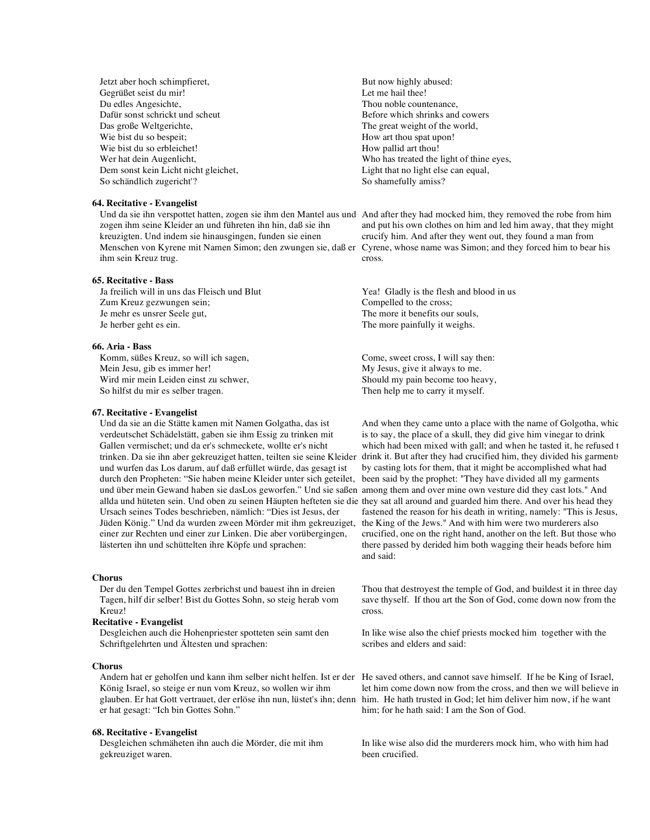Jetzt aber hoch schimpfieret, But now highly abused: Gegrüßet seist du mir! Du edles Angesichte, Dafür sonst schrickt und scheut Das große Weltgerichte, Wie bist du so bespeit; Wie bist du so erbleichet! Wer hat dein Augenlicht, Dem sonst kein Licht nicht gleichet, So schändlich zugericht'?

## **64. Recitative - Evangelist**

Und da sie ihn verspottet hatten, zogen sie ihm den Mantel aus und And after they had mocked him, they removed the robe from him zogen ihm seine Kleider an und führeten ihn hin, daß sie ihn kreuzigten. Und indem sie hinausgingen, funden sie einen Menschen von Kyrene mit Namen Simon; den zwungen sie, daß er ihm sein Kreuz trug.

# **65. Recitative - Bass**

Ja freilich will in uns das Fleisch und Blut Zum Kreuz gezwungen sein; Je mehr es unsrer Seele gut, Je herber geht es ein.

# **66. Aria - Bass**

Komm, süßes Kreuz, so will ich sagen, Mein Jesu, gib es immer her! Wird mir mein Leiden einst zu schwer, So hilfst du mir es selber tragen.

# **67. Recitative - Evangelist**

Und da sie an die Stätte kamen mit Namen Golgatha, das ist verdeutschet Schädelstätt, gaben sie ihm Essig zu trinken mit Gallen vermischet; und da er's schmeckete, wollte er's nicht trinken. Da sie ihn aber gekreuziget hatten, teilten sie seine Kleider und wurfen das Los darum, auf daß erfüllet würde, das gesagt ist durch den Propheten: "Sie haben meine Kleider unter sich geteilet, und über mein Gewand haben sie dasLos geworfen." Und sie saßen among them and over mine own vesture did they cast lots." And allda und hüteten sein. Und oben zu seinen Häupten hefteten sie die they sat all around and guarded him there. And over his head they Ursach seines Todes beschrieben, nämlich: "Dies ist Jesus, der Jüden König." Und da wurden zween Mörder mit ihm gekreuziget, einer zur Rechten und einer zur Linken. Die aber vorübergingen, lästerten ihn und schüttelten ihre Köpfe und sprachen:

## **Chorus**

Der du den Tempel Gottes zerbrichst und bauest ihn in dreien Tagen, hilf dir selber! Bist du Gottes Sohn, so steig herab vom Kreuz!

# **Recitative - Evangelist**

Desgleichen auch die Hohenpriester spotteten sein samt den Schriftgelehrten und Ältesten und sprachen:

# **Chorus**

Andern hat er geholfen und kann ihm selber nicht helfen. Ist er der He saved others, and cannot save himself. If he be King of Israel, König Israel, so steige er nun vom Kreuz, so wollen wir ihm glauben. Er hat Gott vertrauet, der erlöse ihn nun, lüstet's ihn; denn er hat gesagt: "Ich bin Gottes Sohn."

## **68. Recitative - Evangelist**

Desgleichen schmäheten ihn auch die Mörder, die mit ihm gekreuziget waren.

Let me hail thee! Thou noble countenance, Before which shrinks and cowers The great weight of the world, How art thou spat upon! How pallid art thou! Who has treated the light of thine eyes, Light that no light else can equal, So shamefully amiss?

and put his own clothes on him and led him away, that they might crucify him. And after they went out, they found a man from Cyrene, whose name was Simon; and they forced him to bear his cross.

Yea! Gladly is the flesh and blood in us Compelled to the cross; The more it benefits our souls, The more painfully it weighs.

Come, sweet cross, I will say then: My Jesus, give it always to me. Should my pain become too heavy, Then help me to carry it myself.

And when they came unto a place with the name of Golgotha, whic is to say, the place of a skull, they did give him vinegar to drink which had been mixed with gall; and when he tasted it, he refused t drink it. But after they had crucified him, they divided his garments by casting lots for them, that it might be accomplished what had been said by the prophet: "They have divided all my garments fastened the reason for his death in writing, namely: "This is Jesus, the King of the Jews." And with him were two murderers also crucified, one on the right hand, another on the left. But those who there passed by derided him both wagging their heads before him and said:

Thou that destroyest the temple of God, and buildest it in three day save thyself. If thou art the Son of God, come down now from the cross.

In like wise also the chief priests mocked him together with the scribes and elders and said:

let him come down now from the cross, and then we will believe in him. He hath trusted in God; let him deliver him now, if he want him; for he hath said: I am the Son of God.

In like wise also did the murderers mock him, who with him had been crucified.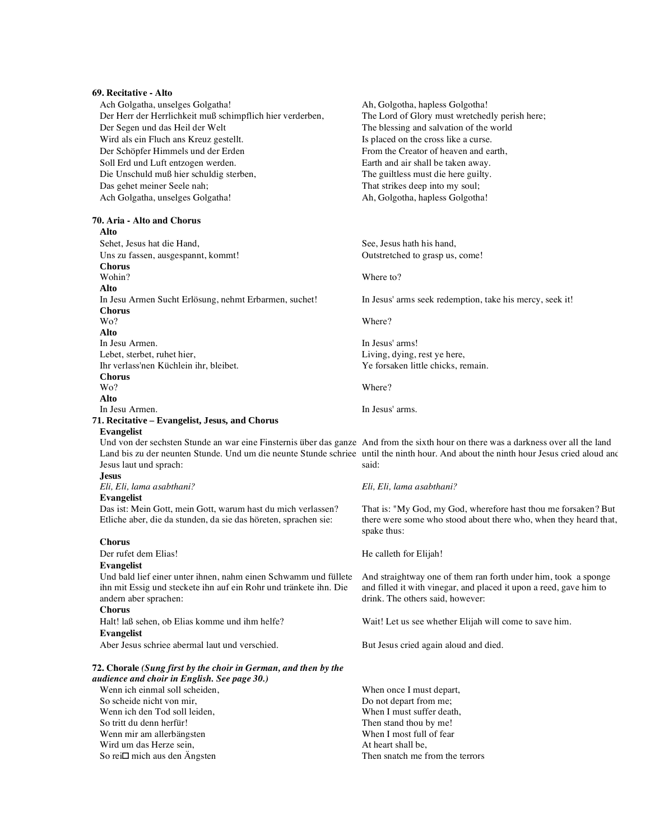| 69. Recitative - Alto                                                                                                               |                                                                                                                                       |
|-------------------------------------------------------------------------------------------------------------------------------------|---------------------------------------------------------------------------------------------------------------------------------------|
| Ach Golgatha, unselges Golgatha!                                                                                                    | Ah, Golgotha, hapless Golgotha!                                                                                                       |
| Der Herr der Herrlichkeit muß schimpflich hier verderben,                                                                           | The Lord of Glory must wretchedly perish here;                                                                                        |
| Der Segen und das Heil der Welt                                                                                                     | The blessing and salvation of the world                                                                                               |
| Wird als ein Fluch ans Kreuz gestellt.                                                                                              | Is placed on the cross like a curse.                                                                                                  |
| Der Schöpfer Himmels und der Erden                                                                                                  | From the Creator of heaven and earth.                                                                                                 |
| Soll Erd und Luft entzogen werden.                                                                                                  | Earth and air shall be taken away.                                                                                                    |
| Die Unschuld muß hier schuldig sterben,                                                                                             | The guiltless must die here guilty.                                                                                                   |
| Das gehet meiner Seele nah;                                                                                                         | That strikes deep into my soul;                                                                                                       |
| Ach Golgatha, unselges Golgatha!                                                                                                    | Ah, Golgotha, hapless Golgotha!                                                                                                       |
|                                                                                                                                     |                                                                                                                                       |
| 70. Aria - Alto and Chorus                                                                                                          |                                                                                                                                       |
| Alto                                                                                                                                |                                                                                                                                       |
| Sehet, Jesus hat die Hand,                                                                                                          | See, Jesus hath his hand,                                                                                                             |
| Uns zu fassen, ausgespannt, kommt!                                                                                                  | Outstretched to grasp us, come!                                                                                                       |
| <b>Chorus</b>                                                                                                                       |                                                                                                                                       |
| Wohin?                                                                                                                              | Where to?                                                                                                                             |
| Alto                                                                                                                                |                                                                                                                                       |
| In Jesu Armen Sucht Erlösung, nehmt Erbarmen, suchet!                                                                               | In Jesus' arms seek redemption, take his mercy, seek it!                                                                              |
| <b>Chorus</b>                                                                                                                       |                                                                                                                                       |
| Wo?                                                                                                                                 | Where?                                                                                                                                |
| Alto                                                                                                                                |                                                                                                                                       |
| In Jesu Armen.                                                                                                                      | In Jesus' arms!                                                                                                                       |
| Lebet, sterbet, ruhet hier,                                                                                                         | Living, dying, rest ye here,                                                                                                          |
| Ihr verlass'nen Küchlein ihr, bleibet.                                                                                              | Ye forsaken little chicks, remain.                                                                                                    |
| <b>Chorus</b>                                                                                                                       |                                                                                                                                       |
| Wo?                                                                                                                                 | Where?                                                                                                                                |
| Alto                                                                                                                                |                                                                                                                                       |
| In Jesu Armen.                                                                                                                      | In Jesus' arms.                                                                                                                       |
| 71. Recitative – Evangelist, Jesus, and Chorus<br><b>Evangelist</b>                                                                 |                                                                                                                                       |
| Und von der sechsten Stunde an war eine Finsternis über das ganze And from the sixth hour on there was a darkness over all the land |                                                                                                                                       |
|                                                                                                                                     | Land bis zu der neunten Stunde. Und um die neunte Stunde schriee until the ninth hour. And about the ninth hour Jesus cried aloud and |
| Jesus laut und sprach:                                                                                                              | said:                                                                                                                                 |
| <b>Jesus</b>                                                                                                                        |                                                                                                                                       |
| Eli, Eli, lama asabthani?                                                                                                           | Eli, Eli, lama asabthani?                                                                                                             |
| <b>Evangelist</b>                                                                                                                   |                                                                                                                                       |
| Das ist: Mein Gott, mein Gott, warum hast du mich verlassen?                                                                        | That is: "My God, my God, wherefore hast thou me forsaken? But                                                                        |
| Etliche aber, die da stunden, da sie das höreten, sprachen sie:                                                                     | there were some who stood about there who, when they heard that,                                                                      |
|                                                                                                                                     | spake thus:                                                                                                                           |
| <b>Chorus</b>                                                                                                                       |                                                                                                                                       |
| Der rufet dem Elias!                                                                                                                | He calleth for Elijah!                                                                                                                |
| <b>Evangelist</b>                                                                                                                   |                                                                                                                                       |
| Und bald lief einer unter ihnen, nahm einen Schwamm und füllete                                                                     | And straightway one of them ran forth under him, took a sponge                                                                        |
| ihn mit Essig und steckete ihn auf ein Rohr und tränkete ihn. Die                                                                   | and filled it with vinegar, and placed it upon a reed, gave him to                                                                    |
| andern aber sprachen:                                                                                                               | drink. The others said, however:                                                                                                      |
| <b>Chorus</b>                                                                                                                       |                                                                                                                                       |
| Halt! laß sehen, ob Elias komme und ihm helfe?                                                                                      | Wait! Let us see whether Elijah will come to save him.                                                                                |
| <b>Evangelist</b>                                                                                                                   |                                                                                                                                       |
| Aber Jesus schriee abermal laut und verschied.                                                                                      | But Jesus cried again aloud and died.                                                                                                 |
| 72. Chorale (Sung first by the choir in German, and then by the                                                                     |                                                                                                                                       |
| audience and choir in English. See page 30.)                                                                                        |                                                                                                                                       |
| Wenn ich einmal soll scheiden,                                                                                                      | When once I must depart,                                                                                                              |
| So scheide nicht von mir,                                                                                                           | Do not depart from me;                                                                                                                |
| Wenn ich den Tod soll leiden,                                                                                                       | When I must suffer death,                                                                                                             |
| So tritt du denn herfür!                                                                                                            | Then stand thou by me!                                                                                                                |
| Wenn mir am allerbängsten                                                                                                           | When I most full of fear                                                                                                              |
| Wird um das Herze sein,                                                                                                             | At heart shall be,                                                                                                                    |

Then snatch me from the terrors

So rei mich aus den Ängsten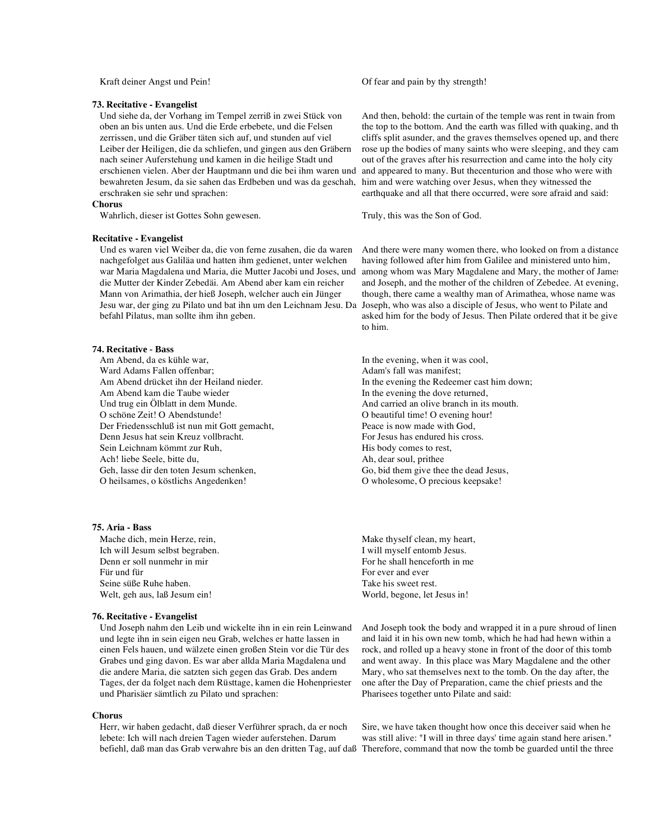# **73. Recitative - Evangelist**

Und siehe da, der Vorhang im Tempel zerriß in zwei Stück von oben an bis unten aus. Und die Erde erbebete, und die Felsen zerrissen, und die Gräber täten sich auf, und stunden auf viel Leiber der Heiligen, die da schliefen, und gingen aus den Gräbern nach seiner Auferstehung und kamen in die heilige Stadt und erschienen vielen. Aber der Hauptmann und die bei ihm waren und bewahreten Jesum, da sie sahen das Erdbeben und was da geschah, erschraken sie sehr und sprachen:

## **Chorus**

Wahrlich, dieser ist Gottes Sohn gewesen. Truly, this was the Son of God.

## **Recitative - Evangelist**

Und es waren viel Weiber da, die von ferne zusahen, die da waren nachgefolget aus Galiläa und hatten ihm gedienet, unter welchen war Maria Magdalena und Maria, die Mutter Jacobi und Joses, und die Mutter der Kinder Zebedäi. Am Abend aber kam ein reicher Mann von Arimathia, der hieß Joseph, welcher auch ein Jünger Jesu war, der ging zu Pilato und bat ihn um den Leichnam Jesu. Da befahl Pilatus, man sollte ihm ihn geben.

## **74. Recitative - Bass**

Am Abend, da es kühle war, Ward Adams Fallen offenbar; Am Abend drücket ihn der Heiland nieder. Am Abend kam die Taube wieder Und trug ein Ölblatt in dem Munde. O schöne Zeit! O Abendstunde! Der Friedensschluß ist nun mit Gott gemacht, Denn Jesus hat sein Kreuz vollbracht. Sein Leichnam kömmt zur Ruh, Ach! liebe Seele, bitte du, Geh, lasse dir den toten Jesum schenken, O heilsames, o köstlichs Angedenken!

# **75. Aria - Bass**

Mache dich, mein Herze, rein, Ich will Jesum selbst begraben. Denn er soll nunmehr in mir Für und für Seine süße Ruhe haben. Welt, geh aus, laß Jesum ein!

## **76. Recitative - Evangelist**

Und Joseph nahm den Leib und wickelte ihn in ein rein Leinwand und legte ihn in sein eigen neu Grab, welches er hatte lassen in einen Fels hauen, und wälzete einen großen Stein vor die Tür des Grabes und ging davon. Es war aber allda Maria Magdalena und die andere Maria, die satzten sich gegen das Grab. Des andern Tages, der da folget nach dem Rüsttage, kamen die Hohenpriester und Pharisäer sämtlich zu Pilato und sprachen:

## **Chorus**

Herr, wir haben gedacht, daß dieser Verführer sprach, da er noch lebete: Ich will nach dreien Tagen wieder auferstehen. Darum

Kraft deiner Angst und Pein! Comment of fear and pain by thy strength!

And then, behold: the curtain of the temple was rent in twain from the top to the bottom. And the earth was filled with quaking, and th cliffs split asunder, and the graves themselves opened up, and there rose up the bodies of many saints who were sleeping, and they cam out of the graves after his resurrection and came into the holy city and appeared to many. But thecenturion and those who were with him and were watching over Jesus, when they witnessed the earthquake and all that there occurred, were sore afraid and said:

And there were many women there, who looked on from a distance having followed after him from Galilee and ministered unto him, among whom was Mary Magdalene and Mary, the mother of James and Joseph, and the mother of the children of Zebedee. At evening, though, there came a wealthy man of Arimathea, whose name was Joseph, who was also a disciple of Jesus, who went to Pilate and asked him for the body of Jesus. Then Pilate ordered that it be give to him.

In the evening, when it was cool, Adam's fall was manifest; In the evening the Redeemer cast him down; In the evening the dove returned, And carried an olive branch in its mouth. O beautiful time! O evening hour! Peace is now made with God, For Jesus has endured his cross. His body comes to rest, Ah, dear soul, prithee Go, bid them give thee the dead Jesus, O wholesome, O precious keepsake!

Make thyself clean, my heart, I will myself entomb Jesus. For he shall henceforth in me For ever and ever Take his sweet rest. World, begone, let Jesus in!

And Joseph took the body and wrapped it in a pure shroud of linen and laid it in his own new tomb, which he had had hewn within a rock, and rolled up a heavy stone in front of the door of this tomb and went away. In this place was Mary Magdalene and the other Mary, who sat themselves next to the tomb. On the day after, the one after the Day of Preparation, came the chief priests and the Pharisees together unto Pilate and said:

befiehl, daß man das Grab verwahre bis an den dritten Tag, auf daß Therefore, command that now the tomb be guarded until the three Sire, we have taken thought how once this deceiver said when he was still alive: "I will in three days' time again stand here arisen."